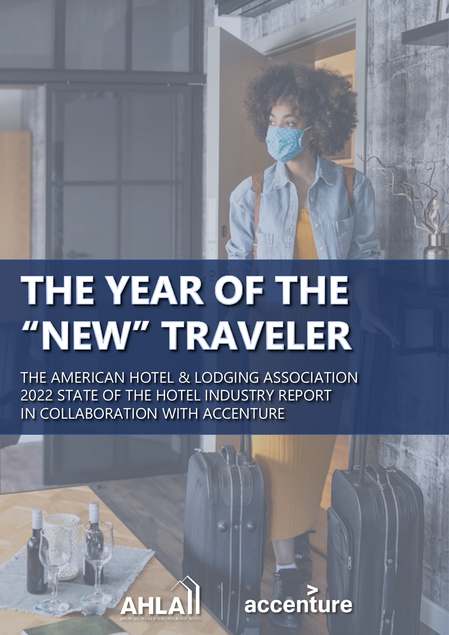

# THE YEAR OF THE "NEW" TRAVELER

THE AMERICAN HOTEL & LODGING ASSOCIATION 2022 STATE OF THE HOTEL INDUSTRY REPORT IN COLLABORATION WITH ACCENTURE

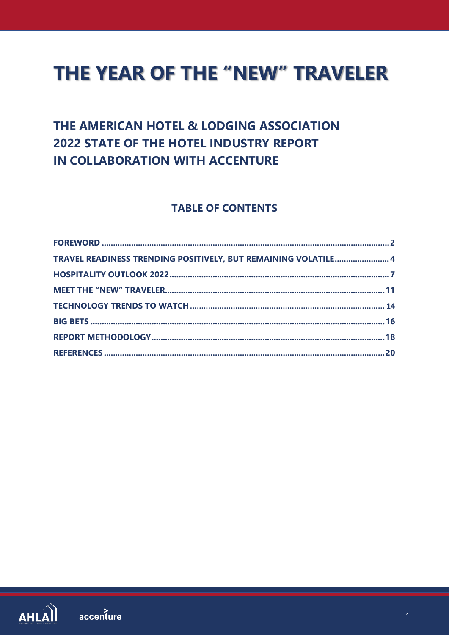# **THE YEAR OF THE "NEW" TRAVELER**

# THE AMERICAN HOTEL & LODGING ASSOCIATION **2022 STATE OF THE HOTEL INDUSTRY REPORT** IN COLLABORATION WITH ACCENTURE

# **TABLE OF CONTENTS**

| TRAVEL READINESS TRENDING POSITIVELY, BUT REMAINING VOLATILE 4 |  |
|----------------------------------------------------------------|--|
|                                                                |  |
|                                                                |  |
|                                                                |  |
|                                                                |  |
|                                                                |  |
|                                                                |  |

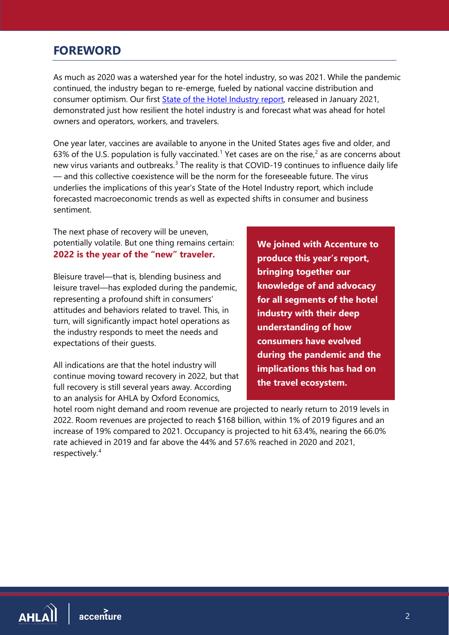# <span id="page-2-0"></span>**FOREWORD**

As much as 2020 was a watershed year for the hotel industry, so was 2021. While the pandemic continued, the industry began to re-emerge, fueled by national vaccine distribution and consumer optimism. Our first [State of the Hotel Industry report,](https://www.ahla.com/soti2021) released in January 2021, demonstrated just how resilient the hotel industry is and forecast what was ahead for hotel owners and operators, workers, and travelers.

One year later, vaccines are available to anyone in the United States ages five and older, and 63% of the U.S. population is fully vaccinated.<sup>[1](#page-20-1)</sup> Yet cases are on the rise,<sup>[2](#page-20-2)</sup> as are concerns about new virus variants and outbreaks.<sup>[3](#page-20-3)</sup> The reality is that COVID-19 continues to influence daily life — and this collective coexistence will be the norm for the foreseeable future. The virus underlies the implications of this year's State of the Hotel Industry report, which include forecasted macroeconomic trends as well as expected shifts in consumer and business sentiment.

The next phase of recovery will be uneven, potentially volatile. But one thing remains certain: **2022 is the year of the "new" traveler.**

Bleisure travel—that is, blending business and leisure travel—has exploded during the pandemic, representing a profound shift in consumers' attitudes and behaviors related to travel. This, in turn, will significantly impact hotel operations as the industry responds to meet the needs and expectations of their guests.

All indications are that the hotel industry will continue moving toward recovery in 2022, but that full recovery is still several years away. According to an analysis for AHLA by Oxford Economics,

**We joined with Accenture to produce this year's report, bringing together our knowledge of and advocacy for all segments of the hotel industry with their deep understanding of how consumers have evolved during the pandemic and the implications this has had on the travel ecosystem.** 

hotel room night demand and room revenue are projected to nearly return to 2019 levels in 2022. Room revenues are projected to reach \$168 billion, within 1% of 2019 figures and an increase of 19% compared to 2021. Occupancy is projected to hit 63.4%, nearing the 66.0% rate achieved in 2019 and far above the 44% and 57.6% reached in 2020 and 2021, respectively. [4](#page-20-4)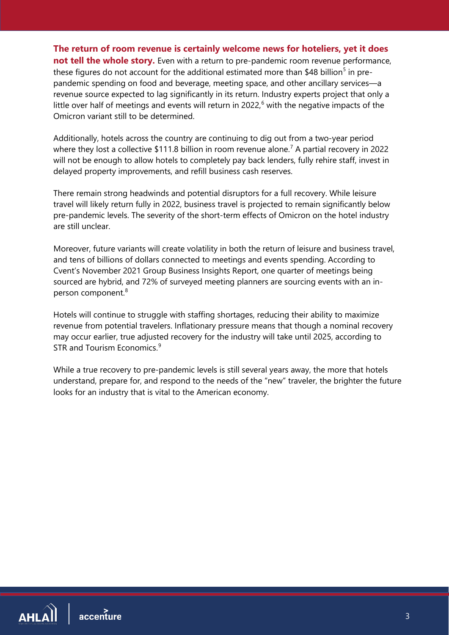**The return of room revenue is certainly welcome news for hoteliers, yet it does** 

**not tell the whole story.** Even with a return to pre-pandemic room revenue performance, these figures do not account for the additional estimated more than \$48 billion<sup>[5](#page-20-5)</sup> in prepandemic spending on food and beverage, meeting space, and other ancillary services—a revenue source expected to lag significantly in its return. Industry experts project that only a little over half of meetings and events will return in 2022, [6](#page-20-6) with the negative impacts of the Omicron variant still to be determined.

Additionally, hotels across the country are continuing to dig out from a two-year period where they lost a collective \$111.8 billion in room revenue alone.<sup>[7](#page-20-7)</sup> A partial recovery in 2022 will not be enough to allow hotels to completely pay back lenders, fully rehire staff, invest in delayed property improvements, and refill business cash reserves.

There remain strong headwinds and potential disruptors for a full recovery. While leisure travel will likely return fully in 2022, business travel is projected to remain significantly below pre-pandemic levels. The severity of the short-term effects of Omicron on the hotel industry are still unclear.

Moreover, future variants will create volatility in both the return of leisure and business travel, and tens of billions of dollars connected to meetings and events spending. According to Cvent's November 2021 Group Business Insights Report, one quarter of meetings being sourced are hybrid, and 72% of surveyed meeting planners are sourcing events with an in-person component.<sup>[8](#page-20-8)</sup>

Hotels will continue to struggle with staffing shortages, reducing their ability to maximize revenue from potential travelers. Inflationary pressure means that though a nominal recovery may occur earlier, true adjusted recovery for the industry will take until 2025, according to STR and Tourism Economics.<sup>[9](#page-20-9)</sup>

While a true recovery to pre-pandemic levels is still several years away, the more that hotels understand, prepare for, and respond to the needs of the "new" traveler, the brighter the future looks for an industry that is vital to the American economy.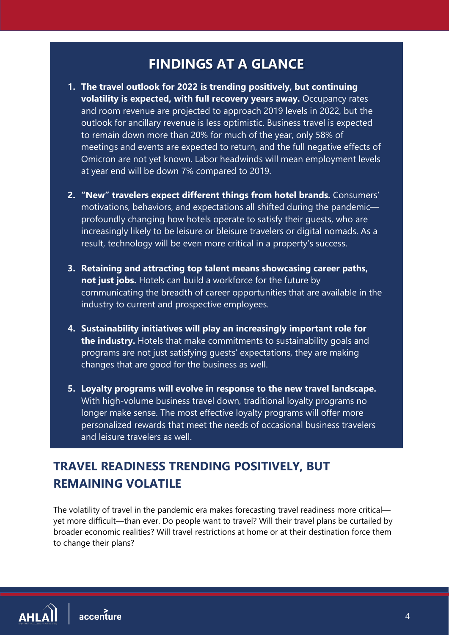# **FINDINGS AT A GLANCE**

- **1. The travel outlook for 2022 is trending positively, but continuing volatility is expected, with full recovery years away.** Occupancy rates and room revenue are projected to approach 2019 levels in 2022, but the outlook for ancillary revenue is less optimistic. Business travel is expected to remain down more than 20% for much of the year, only 58% of meetings and events are expected to return, and the full negative effects of Omicron are not yet known. Labor headwinds will mean employment levels at year end will be down 7% compared to 2019.
- **2. "New" travelers expect different things from hotel brands.** Consumers' motivations, behaviors, and expectations all shifted during the pandemic profoundly changing how hotels operate to satisfy their guests, who are increasingly likely to be leisure or bleisure travelers or digital nomads. As a result, technology will be even more critical in a property's success.
- **3. Retaining and attracting top talent means showcasing career paths, not just jobs.** Hotels can build a workforce for the future by communicating the breadth of career opportunities that are available in the industry to current and prospective employees.
- **4. Sustainability initiatives will play an increasingly important role for the industry.** Hotels that make commitments to sustainability goals and programs are not just satisfying guests' expectations, they are making changes that are good for the business as well.
- **5. Loyalty programs will evolve in response to the new travel landscape.**  With high-volume business travel down, traditional loyalty programs no longer make sense. The most effective loyalty programs will offer more personalized rewards that meet the needs of occasional business travelers and leisure travelers as well.

# <span id="page-4-0"></span>**TRAVEL READINESS TRENDING POSITIVELY, BUT REMAINING VOLATILE**

The volatility of travel in the pandemic era makes forecasting travel readiness more critical yet more difficult—than ever. Do people want to travel? Will their travel plans be curtailed by broader economic realities? Will travel restrictions at home or at their destination force them to change their plans?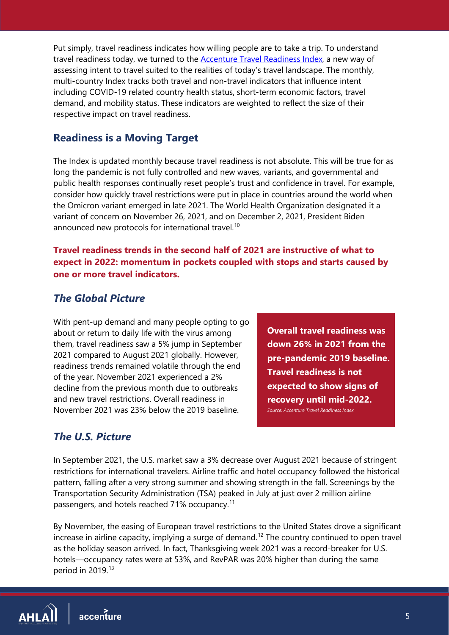Put simply, travel readiness indicates how willing people are to take a trip. To understand travel readiness today, we turned to the [Accenture Travel Readiness Index,](https://accntu.re/3rBiKIV) a new way of assessing intent to travel suited to the realities of today's travel landscape. The monthly, multi-country Index tracks both travel and non-travel indicators that influence intent including COVID-19 related country health status, short-term economic factors, travel demand, and mobility status. These indicators are weighted to reflect the size of their respective impact on travel readiness.

## **Readiness is a Moving Target**

The Index is updated monthly because travel readiness is not absolute. This will be true for as long the pandemic is not fully controlled and new waves, variants, and governmental and public health responses continually reset people's trust and confidence in travel. For example, consider how quickly travel restrictions were put in place in countries around the world when the Omicron variant emerged in late 2021. The World Health Organization designated it a variant of concern on November 26, 2021, and on December 2, 2021, President Biden announced new protocols for international travel.<sup>[10](#page-20-10)</sup>

#### **Travel readiness trends in the second half of 2021 are instructive of what to expect in 2022: momentum in pockets coupled with stops and starts caused by one or more travel indicators.**

## *The Global Picture*

With pent-up demand and many people opting to go about or return to daily life with the virus among them, travel readiness saw a 5% jump in September 2021 compared to August 2021 globally. However, readiness trends remained volatile through the end of the year. November 2021 experienced a 2% decline from the previous month due to outbreaks and new travel restrictions. Overall readiness in November 2021 was 23% below the 2019 baseline.

**Overall travel readiness was down 26% in 2021 from the pre-pandemic 2019 baseline. Travel readiness is not expected to show signs of recovery until mid-2022.**  *Source: Accenture Travel Readiness Index* 

# *The U.S. Picture*

In September 2021, the U.S. market saw a 3% decrease over August 2021 because of stringent restrictions for international travelers. Airline traffic and hotel occupancy followed the historical pattern, falling after a very strong summer and showing strength in the fall. Screenings by the Transportation Security Administration (TSA) peaked in July at just over 2 million airline passengers, and hotels reached 71% occupancy.<sup>[11](#page-20-11)</sup>

By November, the easing of European travel restrictions to the United States drove a significant increase in airline capacity, implying a surge of demand. [12](#page-20-12) The country continued to open travel as the holiday season arrived. In fact, Thanksgiving week 2021 was a record-breaker for U.S. hotels—occupancy rates were at 53%, and RevPAR was 20% higher than during the same period in 2019.<sup>[13](#page-20-13)</sup>

 $AHL\hat{Al}$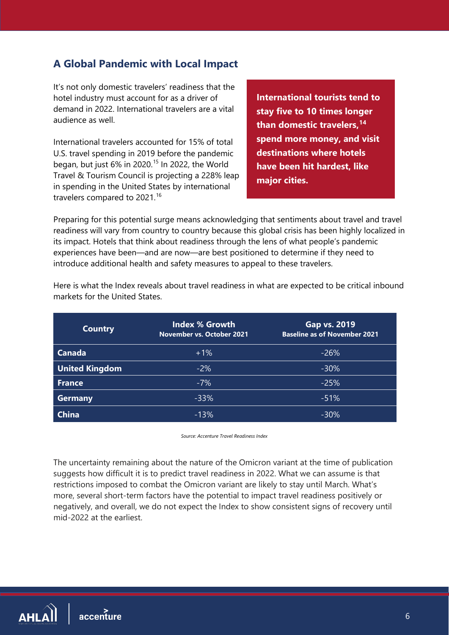# **A Global Pandemic with Local Impact**

It's not only domestic travelers' readiness that the hotel industry must account for as a driver of demand in 2022. International travelers are a vital audience as well.

International travelers accounted for 15% of total U.S. travel spending in 2019 before the pandemic began, but just 6% in 2020.<sup>[15](#page-20-14)</sup> In 2022, the World Travel & Tourism Council is projecting a 228% leap in spending in the United States by international travelers compared to 2021.<sup>[16](#page-20-15)</sup>

**International tourists tend to stay five to 10 times longer than domestic travelers, [14](#page-20-16) spend more money, and visit destinations where hotels have been hit hardest, like major cities.**

Preparing for this potential surge means acknowledging that sentiments about travel and travel readiness will vary from country to country because this global crisis has been highly localized in its impact. Hotels that think about readiness through the lens of what people's pandemic experiences have been—and are now—are best positioned to determine if they need to introduce additional health and safety measures to appeal to these travelers.

| <b>Country</b>        | <b>Index % Growth</b><br>November vs. October 2021 | Gap vs. 2019<br><b>Baseline as of November 2021</b> |
|-----------------------|----------------------------------------------------|-----------------------------------------------------|
| <b>Canada</b>         | $+1%$                                              | $-26%$                                              |
| <b>United Kingdom</b> | $-2%$                                              | $-30\%$                                             |
| <b>France</b>         | $-7%$                                              | $-25%$                                              |
| <b>Germany</b>        | $-33%$                                             | $-51%$                                              |
| <b>China</b>          | $-13%$                                             | $-30\%$                                             |

Here is what the Index reveals about travel readiness in what are expected to be critical inbound markets for the United States.

*Source: Accenture Travel Readiness Index*

The uncertainty remaining about the nature of the Omicron variant at the time of publication suggests how difficult it is to predict travel readiness in 2022. What we can assume is that restrictions imposed to combat the Omicron variant are likely to stay until March. What's more, several short-term factors have the potential to impact travel readiness positively or negatively, and overall, we do not expect the Index to show consistent signs of recovery until mid-2022 at the earliest.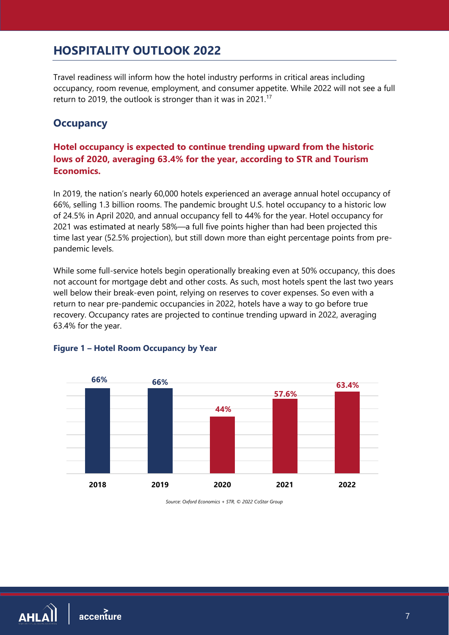# <span id="page-7-0"></span>**HOSPITALITY OUTLOOK 2022**

Travel readiness will inform how the hotel industry performs in critical areas including occupancy, room revenue, employment, and consumer appetite. While 2022 will not see a full return to 2019, the outlook is stronger than it was in 2021.<sup>[17](#page-20-17)</sup>

#### **Occupancy**

#### **Hotel occupancy is expected to continue trending upward from the historic lows of 2020, averaging 63.4% for the year, according to STR and Tourism Economics.**

In 2019, the nation's nearly 60,000 hotels experienced an average annual hotel occupancy of 66%, selling 1.3 billion rooms. The pandemic brought U.S. hotel occupancy to a historic low of 24.5% in April 2020, and annual occupancy fell to 44% for the year. Hotel occupancy for 2021 was estimated at nearly 58%—a full five points higher than had been projected this time last year (52.5% projection), but still down more than eight percentage points from prepandemic levels.

While some full-service hotels begin operationally breaking even at 50% occupancy, this does not account for mortgage debt and other costs. As such, most hotels spent the last two years well below their break-even point, relying on reserves to cover expenses. So even with a return to near pre-pandemic occupancies in 2022, hotels have a way to go before true recovery. Occupancy rates are projected to continue trending upward in 2022, averaging 63.4% for the year.



#### **Figure 1 – Hotel Room Occupancy by Year**

*Source: Oxford Economics + STR, © 2022 CoStar Group*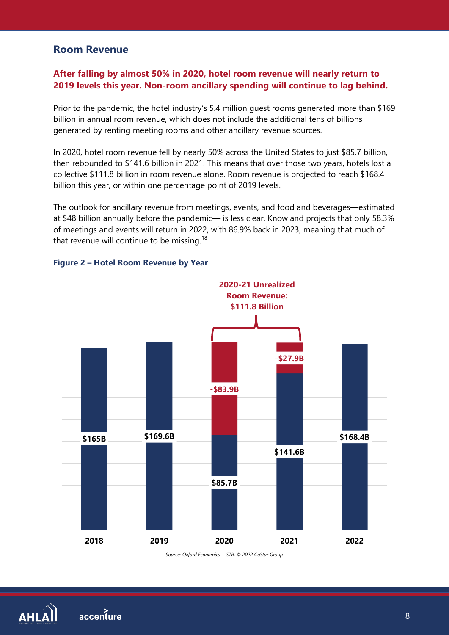#### **Room Revenue**

#### **After falling by almost 50% in 2020, hotel room revenue will nearly return to 2019 levels this year. Non-room ancillary spending will continue to lag behind.**

Prior to the pandemic, the hotel industry's 5.4 million guest rooms generated more than \$169 billion in annual room revenue, which does not include the additional tens of billions generated by renting meeting rooms and other ancillary revenue sources.

In 2020, hotel room revenue fell by nearly 50% across the United States to just \$85.7 billion, then rebounded to \$141.6 billion in 2021. This means that over those two years, hotels lost a collective \$111.8 billion in room revenue alone. Room revenue is projected to reach \$168.4 billion this year, or within one percentage point of 2019 levels.

The outlook for ancillary revenue from meetings, events, and food and beverages—estimated at \$48 billion annually before the pandemic— is less clear. Knowland projects that only 58.3% of meetings and events will return in 2022, with 86.9% back in 2023, meaning that much of that revenue will continue to be missing.<sup>[18](#page-20-18)</sup>





*Source: Oxford Economics + STR, © 2022 CoStar Group*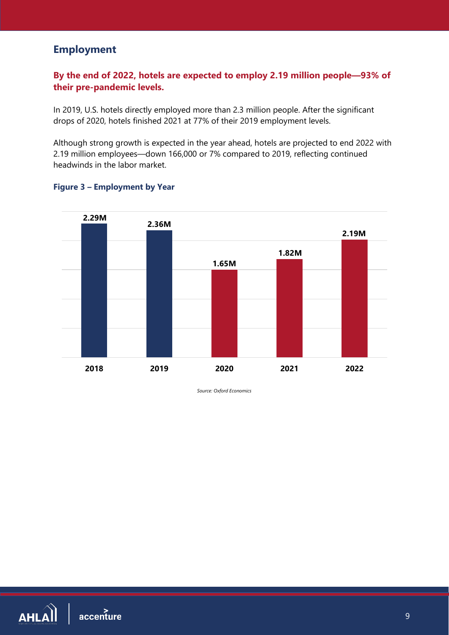# **Employment**

#### **By the end of 2022, hotels are expected to employ 2.19 million people—93% of their pre-pandemic levels.**

In 2019, U.S. hotels directly employed more than 2.3 million people. After the significant drops of 2020, hotels finished 2021 at 77% of their 2019 employment levels.

Although strong growth is expected in the year ahead, hotels are projected to end 2022 with 2.19 million employees—down 166,000 or 7% compared to 2019, reflecting continued headwinds in the labor market.



#### **Figure 3 – Employment by Year**

*Source: Oxford Economics*

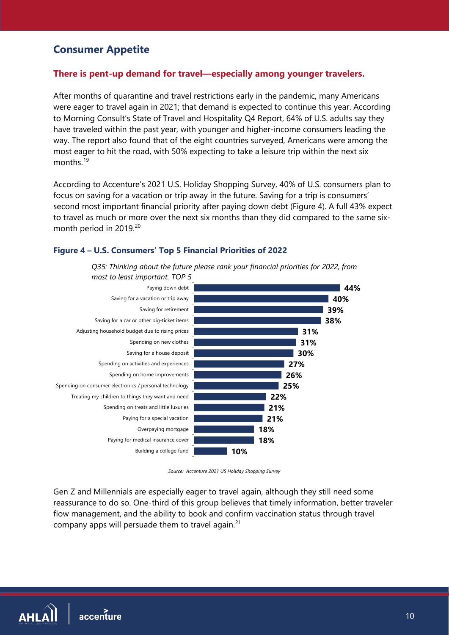# **Consumer Appetite**

#### **There is pent-up demand for travel—especially among younger travelers.**

After months of quarantine and travel restrictions early in the pandemic, many Americans were eager to travel again in 2021; that demand is expected to continue this year. According to Morning Consult's State of Travel and Hospitality Q4 Report, 64% of U.S. adults say they have traveled within the past year, with younger and higher-income consumers leading the way. The report also found that of the eight countries surveyed, Americans were among the most eager to hit the road, with 50% expecting to take a leisure trip within the next six months<sup>[19](#page-20-19)</sup>

According to Accenture's 2021 U.S. Holiday Shopping Survey, 40% of U.S. consumers plan to focus on saving for a vacation or trip away in the future. Saving for a trip is consumers' second most important financial priority after paying down debt (Figure 4). A full 43% expect to travel as much or more over the next six months than they did compared to the same six-month period in [20](#page-20-20)19.<sup>20</sup>

#### **Figure 4 – U.S. Consumers' Top 5 Financial Priorities of 2022**





*Source: Accenture 2021 US Holiday Shopping Survey*

Gen Z and Millennials are especially eager to travel again, although they still need some reassurance to do so. One-third of this group believes that timely information, better traveler flow management, and the ability to book and confirm vaccination status through travel company apps will persuade them to travel again. $21$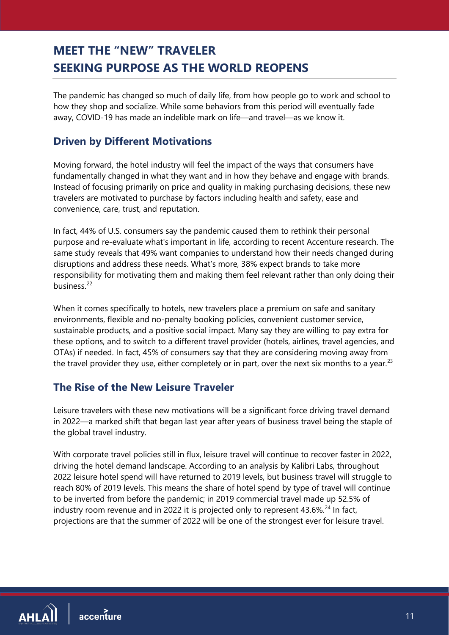# <span id="page-11-0"></span>**MEET THE "NEW" TRAVELER SEEKING PURPOSE AS THE WORLD REOPENS**

The pandemic has changed so much of daily life, from how people go to work and school to how they shop and socialize. While some behaviors from this period will eventually fade away, COVID-19 has made an indelible mark on life—and travel—as we know it.

# **Driven by Different Motivations**

Moving forward, the hotel industry will feel the impact of the ways that consumers have fundamentally changed in what they want and in how they behave and engage with brands. Instead of focusing primarily on price and quality in making purchasing decisions, these new travelers are motivated to purchase by factors including health and safety, ease and convenience, care, trust, and reputation.

In fact, 44% of U.S. consumers say the pandemic caused them to rethink their personal purpose and re-evaluate what's important in life, according to recent Accenture research. The same study reveals that 49% want companies to understand how their needs changed during disruptions and address these needs. What's more, 38% expect brands to take more responsibility for motivating them and making them feel relevant rather than only doing their business<sup>[22](#page-20-22)</sup>

When it comes specifically to hotels, new travelers place a premium on safe and sanitary environments, flexible and no-penalty booking policies, convenient customer service, sustainable products, and a positive social impact. Many say they are willing to pay extra for these options, and to switch to a different travel provider (hotels, airlines, travel agencies, and OTAs) if needed. In fact, 45% of consumers say that they are considering moving away from the travel provider they use, either completely or in part, over the next six months to a year.<sup>[23](#page-20-23)</sup>

# **The Rise of the New Leisure Traveler**

Leisure travelers with these new motivations will be a significant force driving travel demand in 2022—a marked shift that began last year after years of business travel being the staple of the global travel industry.

With corporate travel policies still in flux, leisure travel will continue to recover faster in 2022, driving the hotel demand landscape. According to an analysis by Kalibri Labs, throughout 2022 leisure hotel spend will have returned to 2019 levels, but business travel will struggle to reach 80% of 2019 levels. This means the share of hotel spend by type of travel will continue to be inverted from before the pandemic; in 2019 commercial travel made up 52.5% of industry room revenue and in 2022 it is projected only to represent  $43.6\%$ <sup>[24](#page-20-24)</sup> In fact, projections are that the summer of 2022 will be one of the strongest ever for leisure travel.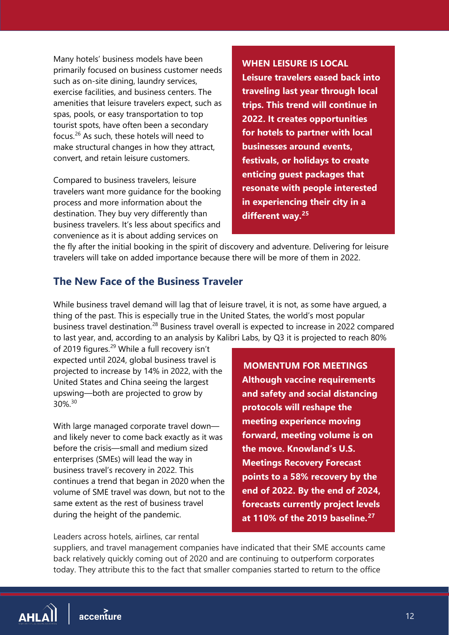Many hotels' business models have been primarily focused on business customer needs such as on-site dining, laundry services, exercise facilities, and business centers. The amenities that leisure travelers expect, such as spas, pools, or easy transportation to top tourist spots, have often been a secondary focus.[26](#page-20-25) As such, these hotels will need to make structural changes in how they attract, convert, and retain leisure customers.

Compared to business travelers, leisure travelers want more guidance for the booking process and more information about the destination. They buy very differently than business travelers. It's less about specifics and convenience as it is about adding services on

**WHEN LEISURE IS LOCAL Leisure travelers eased back into traveling last year through local trips. This trend will continue in 2022. It creates opportunities for hotels to partner with local businesses around events, festivals, or holidays to create enticing guest packages that resonate with people interested in experiencing their city in a different way.[25](#page-20-29)**

the fly after the initial booking in the spirit of discovery and adventure. Delivering for leisure travelers will take on added importance because there will be more of them in 2022.

## **The New Face of the Business Traveler**

While business travel demand will lag that of leisure travel, it is not, as some have argued, a thing of the past. This is especially true in the United States, the world's most popular business travel destination.<sup>[28](#page-20-26)</sup> Business travel overall is expected to increase in 2022 compared to last year, and, according to an analysis by Kalibri Labs, by Q3 it is projected to reach 80%

of 2019 figures.<sup>[29](#page-20-27)</sup> While a full recovery isn't expected until 2024, global business travel is projected to increase by 14% in 2022, with the United States and China seeing the largest upswing—both are projected to grow by 30%.[30](#page-20-28)

With large managed corporate travel down and likely never to come back exactly as it was before the crisis—small and medium sized enterprises (SMEs) will lead the way in business travel's recovery in 2022. This continues a trend that began in 2020 when the volume of SME travel was down, but not to the same extent as the rest of business travel during the height of the pandemic.

 **MOMENTUM FOR MEETINGS Although vaccine requirements and safety and social distancing protocols will reshape the meeting experience moving forward, meeting volume is on the move. Knowland's U.S. Meetings Recovery Forecast points to a 58% recovery by the end of 2022. By the end of 2024, forecasts currently project levels at 110% of the 2019 baseline.[27](#page-20-30)**

Leaders across hotels, airlines, car rental

suppliers, and travel management companies have indicated that their SME accounts came back relatively quickly coming out of 2020 and are continuing to outperform corporates today. They attribute this to the fact that smaller companies started to return to the office

 $AHL\hat{Al}$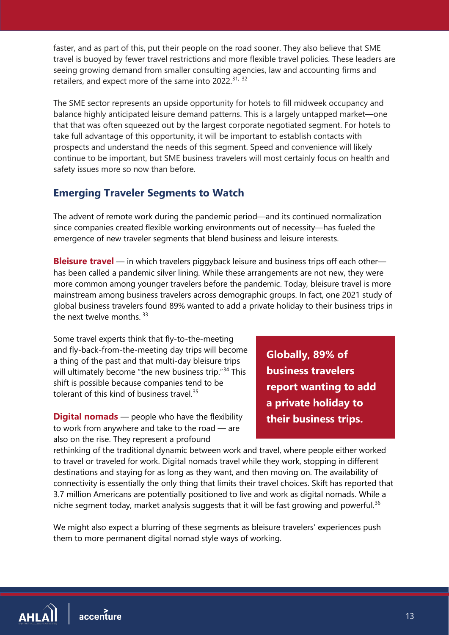faster, and as part of this, put their people on the road sooner. They also believe that SME travel is buoyed by fewer travel restrictions and more flexible travel policies. These leaders are seeing growing demand from smaller consulting agencies, law and accounting firms and retailers, and expect more of the same into 2022.<sup>[31,](#page-20-31) [32](#page-20-32)</sup>

The SME sector represents an upside opportunity for hotels to fill midweek occupancy and balance highly anticipated leisure demand patterns. This is a largely untapped market—one that that was often squeezed out by the largest corporate negotiated segment. For hotels to take full advantage of this opportunity, it will be important to establish contacts with prospects and understand the needs of this segment. Speed and convenience will likely continue to be important, but SME business travelers will most certainly focus on health and safety issues more so now than before.

# **Emerging Traveler Segments to Watch**

The advent of remote work during the pandemic period—and its continued normalization since companies created flexible working environments out of necessity—has fueled the emergence of new traveler segments that blend business and leisure interests.

**Bleisure travel** — in which travelers piggyback leisure and business trips off each other has been called a pandemic silver lining. While these arrangements are not new, they were more common among younger travelers before the pandemic. Today, bleisure travel is more mainstream among business travelers across demographic groups. In fact, one 2021 study of global business travelers found 89% wanted to add a private holiday to their business trips in the next twelve months.<sup>[33](#page-20-33)</sup>

Some travel experts think that fly-to-the-meeting and fly-back-from-the-meeting day trips will become a thing of the past and that multi-day bleisure trips will ultimately become "the new business trip."<sup>[34](#page-20-34)</sup> This shift is possible because companies tend to be tolerant of this kind of business travel.<sup>[35](#page-20-35)</sup>

**Digital nomads** — people who have the flexibility to work from anywhere and take to the road — are also on the rise. They represent a profound

**Globally, 89% of business travelers report wanting to add a private holiday to their business trips.**

rethinking of the traditional dynamic between work and travel, where people either worked to travel or traveled for work. Digital nomads travel while they work, stopping in different destinations and staying for as long as they want, and then moving on. The availability of connectivity is essentially the only thing that limits their travel choices. Skift has reported that 3.7 million Americans are potentially positioned to live and work as digital nomads. While a niche segment today, market analysis suggests that it will be fast growing and powerful.<sup>[36](#page-20-36)</sup>

We might also expect a blurring of these segments as bleisure travelers' experiences push them to more permanent digital nomad style ways of working.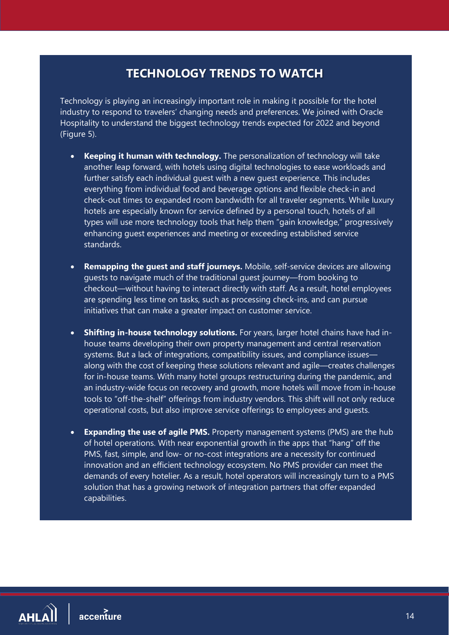# **TECHNOLOGY TRENDS TO WATCH**

<span id="page-14-0"></span>Technology is playing an increasingly important role in making it possible for the hotel industry to respond to travelers' changing needs and preferences. We joined with Oracle Hospitality to understand the biggest technology trends expected for 2022 and beyond (Figure 5).

- **Keeping it human with technology.** The personalization of technology will take another leap forward, with hotels using digital technologies to ease workloads and further satisfy each individual quest with a new guest experience. This includes everything from individual food and beverage options and flexible check-in and check-out times to expanded room bandwidth for all traveler segments. While luxury hotels are especially known for service defined by a personal touch, hotels of all types will use more technology tools that help them "gain knowledge," progressively enhancing guest experiences and meeting or exceeding established service standards.
- **Remapping the guest and staff journeys.** Mobile, self-service devices are allowing guests to navigate much of the traditional guest journey—from booking to checkout—without having to interact directly with staff. As a result, hotel employees are spending less time on tasks, such as processing check-ins, and can pursue initiatives that can make a greater impact on customer service.
- **Shifting in-house technology solutions.** For years, larger hotel chains have had inhouse teams developing their own property management and central reservation systems. But a lack of integrations, compatibility issues, and compliance issues along with the cost of keeping these solutions relevant and agile—creates challenges for in-house teams. With many hotel groups restructuring during the pandemic, and an industry-wide focus on recovery and growth, more hotels will move from in-house tools to "off-the-shelf" offerings from industry vendors. This shift will not only reduce operational costs, but also improve service offerings to employees and guests.
- **Expanding the use of agile PMS.** Property management systems (PMS) are the hub of hotel operations. With near exponential growth in the apps that "hang" off the PMS, fast, simple, and low- or no-cost integrations are a necessity for continued innovation and an efficient technology ecosystem. No PMS provider can meet the demands of every hotelier. As a result, hotel operators will increasingly turn to a PMS solution that has a growing network of integration partners that offer expanded capabilities.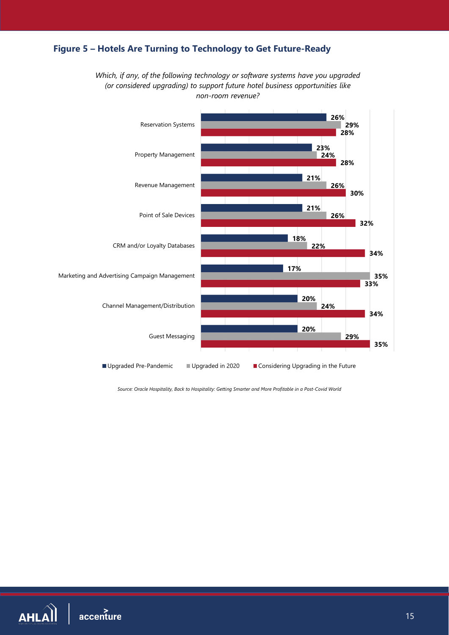# **Figure 5 – Hotels Are Turning to Technology to Get Future-Ready**

*Which, if any, of the following technology or software systems have you upgraded (or considered upgrading) to support future hotel business opportunities like non-room revenue?*



*Source: Oracle Hospitality, Back to Hospitality: Getting Smarter and More Profitable in a Post-Covid World*

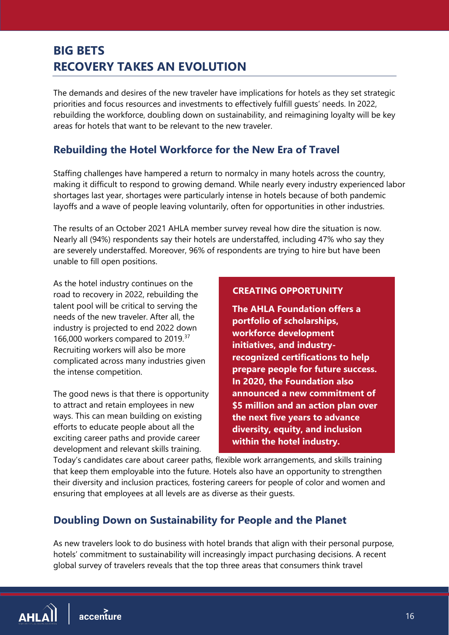# <span id="page-16-0"></span>**BIG BETS RECOVERY TAKES AN EVOLUTION**

The demands and desires of the new traveler have implications for hotels as they set strategic priorities and focus resources and investments to effectively fulfill guests' needs. In 2022, rebuilding the workforce, doubling down on sustainability, and reimagining loyalty will be key areas for hotels that want to be relevant to the new traveler.

# **Rebuilding the Hotel Workforce for the New Era of Travel**

Staffing challenges have hampered a return to normalcy in many hotels across the country, making it difficult to respond to growing demand. While nearly every industry experienced labor shortages last year, shortages were particularly intense in hotels because of both pandemic layoffs and a wave of people leaving voluntarily, often for opportunities in other industries.

The results of an October 2021 AHLA member survey reveal how dire the situation is now. Nearly all (94%) respondents say their hotels are understaffed, including 47% who say they are severely understaffed. Moreover, 96% of respondents are trying to hire but have been unable to fill open positions.

As the hotel industry continues on the road to recovery in 2022, rebuilding the talent pool will be critical to serving the needs of the new traveler. After all, the industry is projected to end 2022 down 166,000 workers compared to 2019.<sup>[37](#page-20-37)</sup> Recruiting workers will also be more complicated across many industries given the intense competition.

The good news is that there is opportunity to attract and retain employees in new ways. This can mean building on existing efforts to educate people about all the exciting career paths and provide career development and relevant skills training.

#### **CREATING OPPORTUNITY**

**The AHLA Foundation offers a portfolio of scholarships, workforce development initiatives, and industryrecognized certifications to help prepare people for future success. In 2020, the Foundation also announced a new commitment of \$5 million and an action plan over the next five years to advance diversity, equity, and inclusion within the hotel industry.**

Today's candidates care about career paths, flexible work arrangements, and skills training that keep them employable into the future. Hotels also have an opportunity to strengthen their diversity and inclusion practices, fostering careers for people of color and women and ensuring that employees at all levels are as diverse as their guests.

# **Doubling Down on Sustainability for People and the Planet**

As new travelers look to do business with hotel brands that align with their personal purpose, hotels' commitment to sustainability will increasingly impact purchasing decisions. A recent global survey of travelers reveals that the top three areas that consumers think travel

 $AHL\hat{Al}$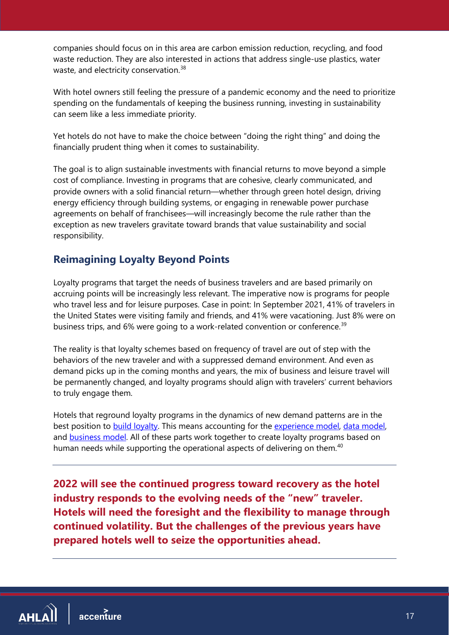companies should focus on in this area are carbon emission reduction, recycling, and food waste reduction. They are also interested in actions that address single-use plastics, water waste, and electricity conservation.<sup>[38](#page-20-38)</sup>

With hotel owners still feeling the pressure of a pandemic economy and the need to prioritize spending on the fundamentals of keeping the business running, investing in sustainability can seem like a less immediate priority.

Yet hotels do not have to make the choice between "doing the right thing" and doing the financially prudent thing when it comes to sustainability.

The goal is to align sustainable investments with financial returns to move beyond a simple cost of compliance. Investing in programs that are cohesive, clearly communicated, and provide owners with a solid financial return—whether through green hotel design, driving energy efficiency through building systems, or engaging in renewable power purchase agreements on behalf of franchisees—will increasingly become the rule rather than the exception as new travelers gravitate toward brands that value sustainability and social responsibility.

# **Reimagining Loyalty Beyond Points**

Loyalty programs that target the needs of business travelers and are based primarily on accruing points will be increasingly less relevant. The imperative now is programs for people who travel less and for leisure purposes. Case in point: In September 2021, 41% of travelers in the United States were visiting family and friends, and 41% were vacationing. Just 8% were on business trips, and 6% were going to a work-related convention or conference.<sup>[39](#page-20-39)</sup>

The reality is that loyalty schemes based on frequency of travel are out of step with the behaviors of the new traveler and with a suppressed demand environment. And even as demand picks up in the coming months and years, the mix of business and leisure travel will be permanently changed, and loyalty programs should align with travelers' current behaviors to truly engage them.

Hotels that reground loyalty programs in the dynamics of new demand patterns are in the best position to [build loyalty.](https://www.accenture.com/us-en/insights/travel/loyalty) This means accounting for the [experience](https://www.accenture.com/us-en/insights/travel/experience-model) model, [data model,](https://www.accenture.com/us-en/insights/travel/mind-harnessing-power-data) and **business model**. All of these parts work together to create loyalty programs based on human needs while supporting the operational aspects of delivering on them.<sup>[40](#page-20-40)</sup>

<span id="page-17-0"></span>**2022 will see the continued progress toward recovery as the hotel industry responds to the evolving needs of the "new" traveler. Hotels will need the foresight and the flexibility to manage through continued volatility. But the challenges of the previous years have prepared hotels well to seize the opportunities ahead.**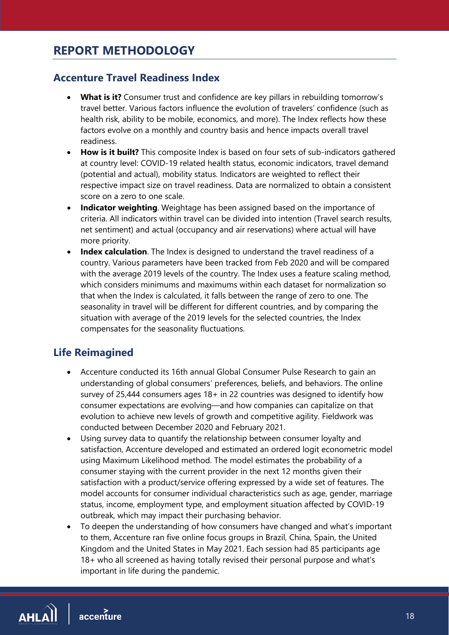# **REPORT METHODOLOGY**

# **Accenture Travel Readiness Index**

- **What is it?** Consumer trust and confidence are key pillars in rebuilding tomorrow's travel better. Various factors influence the evolution of travelers' confidence (such as health risk, ability to be mobile, economics, and more). The Index reflects how these factors evolve on a monthly and country basis and hence impacts overall travel readiness.
- **How is it built?** This composite Index is based on four sets of sub-indicators gathered at country level: COVID-19 related health status, economic indicators, travel demand (potential and actual), mobility status. Indicators are weighted to reflect their respective impact size on travel readiness. Data are normalized to obtain a consistent score on a zero to one scale.
- **Indicator weighting**. Weightage has been assigned based on the importance of criteria. All indicators within travel can be divided into intention (Travel search results, net sentiment) and actual (occupancy and air reservations) where actual will have more priority.
- **Index calculation**. The Index is designed to understand the travel readiness of a country. Various parameters have been tracked from Feb 2020 and will be compared with the average 2019 levels of the country. The Index uses a feature scaling method, which considers minimums and maximums within each dataset for normalization so that when the Index is calculated, it falls between the range of zero to one. The seasonality in travel will be different for different countries, and by comparing the situation with average of the 2019 levels for the selected countries, the Index compensates for the seasonality fluctuations.

# **Life Reimagined**

- Accenture conducted its 16th annual Global Consumer Pulse Research to gain an understanding of global consumers' preferences, beliefs, and behaviors. The online survey of 25,444 consumers ages 18+ in 22 countries was designed to identify how consumer expectations are evolving—and how companies can capitalize on that evolution to achieve new levels of growth and competitive agility. Fieldwork was conducted between December 2020 and February 2021.
- Using survey data to quantify the relationship between consumer loyalty and satisfaction, Accenture developed and estimated an ordered logit econometric model using Maximum Likelihood method. The model estimates the probability of a consumer staying with the current provider in the next 12 months given their satisfaction with a product/service offering expressed by a wide set of features. The model accounts for consumer individual characteristics such as age, gender, marriage status, income, employment type, and employment situation affected by COVID-19 outbreak, which may impact their purchasing behavior.
- To deepen the understanding of how consumers have changed and what's important to them, Accenture ran five online focus groups in Brazil, China, Spain, the United Kingdom and the United States in May 2021. Each session had 85 participants age 18+ who all screened as having totally revised their personal purpose and what's important in life during the pandemic.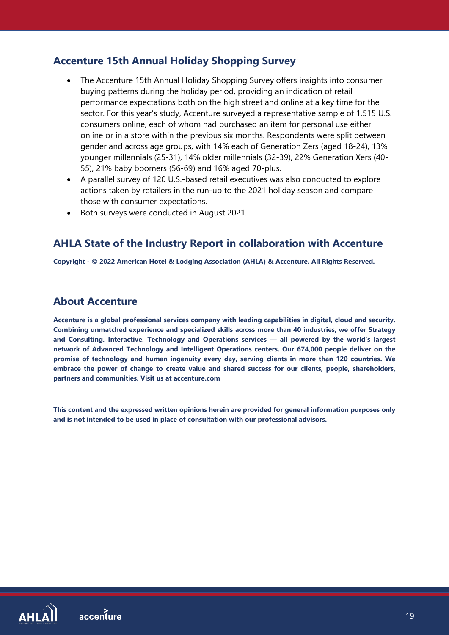# **Accenture 15th Annual Holiday Shopping Survey**

- The Accenture 15th Annual Holiday Shopping Survey offers insights into consumer buying patterns during the holiday period, providing an indication of retail performance expectations both on the high street and online at a key time for the sector. For this year's study, Accenture surveyed a representative sample of 1,515 U.S. consumers online, each of whom had purchased an item for personal use either online or in a store within the previous six months. Respondents were split between gender and across age groups, with 14% each of Generation Zers (aged 18-24), 13% younger millennials (25-31), 14% older millennials (32-39), 22% Generation Xers (40- 55), 21% baby boomers (56-69) and 16% aged 70-plus.
- A parallel survey of 120 U.S.-based retail executives was also conducted to explore actions taken by retailers in the run-up to the 2021 holiday season and compare those with consumer expectations.
- Both surveys were conducted in August 2021.

## **AHLA State of the Industry Report in collaboration with Accenture**

**Copyright - © 2022 American Hotel & Lodging Association (AHLA) & Accenture. All Rights Reserved.**

## **About Accenture**

**Accenture is a global professional services company with leading capabilities in digital, cloud and security. Combining unmatched experience and specialized skills across more than 40 industries, we offer Strategy and Consulting, Interactive, Technology and Operations services — all powered by the world's largest network of Advanced Technology and Intelligent Operations centers. Our 674,000 people deliver on the promise of technology and human ingenuity every day, serving clients in more than 120 countries. We embrace the power of change to create value and shared success for our clients, people, shareholders, partners and communities. Visit us at accenture.com**

**This content and the expressed written opinions herein are provided for general information purposes only and is not intended to be used in place of consultation with our professional advisors.**